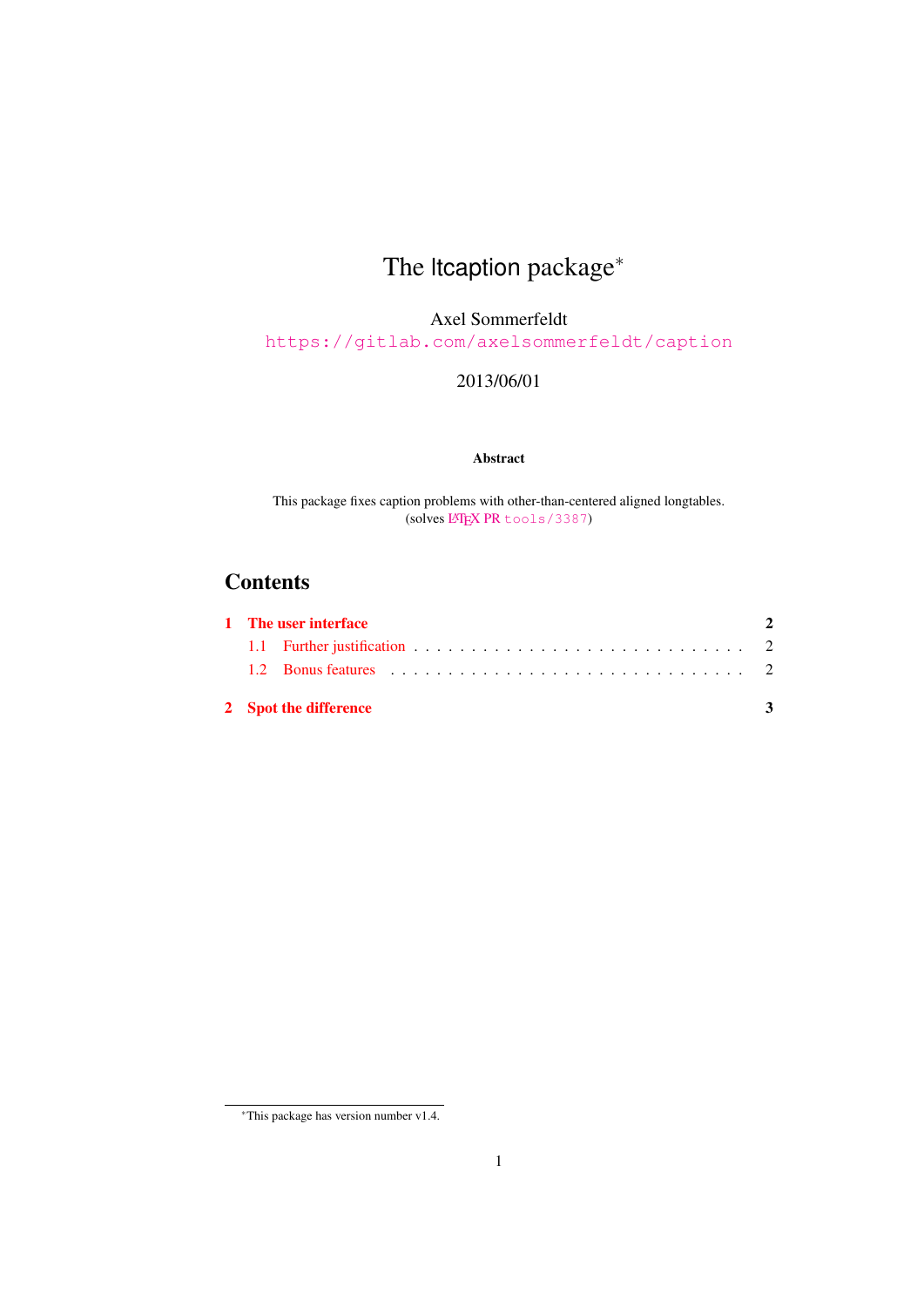# The ltcaption package<sup>∗</sup>

Axel Sommerfeldt

<https://gitlab.com/axelsommerfeldt/caption>

2013/06/01

#### Abstract

This package fixes caption problems with other-than-centered aligned longtables. (solves LATEX PR [tools/3387](http://www.latex-project.org/cgi-bin/ltxbugs2html?pr=tools/3387))

## **Contents**

| 1 The user interface  |  |  |  |
|-----------------------|--|--|--|
|                       |  |  |  |
|                       |  |  |  |
| 2 Spot the difference |  |  |  |

<sup>∗</sup>This package has version number v1.4.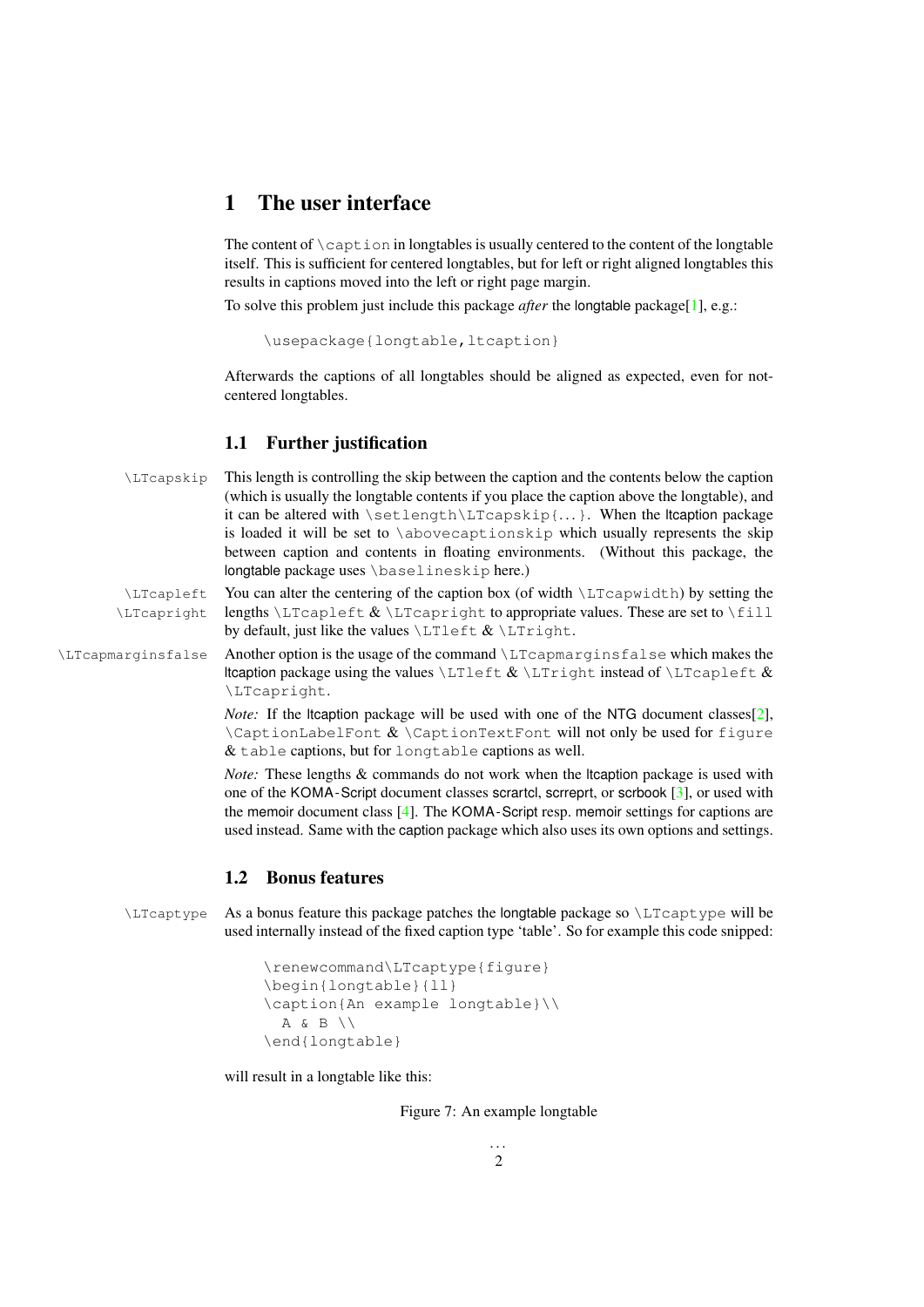## <span id="page-1-0"></span>1 The user interface

The content of  $\cap$  caption in longtables is usually centered to the content of the longtable itself. This is sufficient for centered longtables, but for left or right aligned longtables this results in captions moved into the left or right page margin.

To solve this problem just include this package *after* the longtable package[\[1\]](#page-4-0), e.g.:

```
\usepackage{longtable, ltcaption}
```
Afterwards the captions of all longtables should be aligned as expected, even for notcentered longtables.

#### <span id="page-1-1"></span>1.1 Further justification

| \LTcapskip  | This length is controlling the skip between the caption and the contents below the caption                                        |
|-------------|-----------------------------------------------------------------------------------------------------------------------------------|
|             | (which is usually the longtable contents if you place the caption above the longtable), and                                       |
|             | it can be altered with $\setminus$ setlength $\setminus$ LTcapskip $\{ \}$ . When the Itcaption package                           |
|             | is loaded it will be set to \abovecaptionskip which usually represents the skip                                                   |
|             | between caption and contents in floating environments. (Without this package, the                                                 |
|             | longtable package uses \baselineskip here.)                                                                                       |
| \LTcapleft  | You can alter the centering of the caption box (of width $\L_{T\text{capwidth}}$ ) by setting the                                 |
| \LTcapright | lengths $\LTCapleft & \LTCapright$ to appropriate values. These are set to $\f{ill}$                                              |
|             | by default, just like the values $\LTleft & \LTright$ .                                                                           |
|             | $\lambda$ comparative follow $\lambda$ nother option is the usege of the command $\lambda$ I Toppmong in a follow which makes the |

\LTcapmarginsfalse Another option is the usage of the command \LTcapmarginsfalse which makes the ltcaption package using the values  $\LTleft & \LTright$  instead of  $\LTcapleft$  & \LTcapright.

> *Note:* If the ltcaption package will be used with one of the NTG document classes[\[2\]](#page-4-1),  $\Lambda \$  \CaptionLabelFont  $\& \Delta \$ & table captions, but for longtable captions as well.

> *Note:* These lengths & commands do not work when the ltcaption package is used with one of the KOMA -Script document classes scrartcl, scrreprt, or scrbook [\[3\]](#page-4-2), or used with the memoir document class [\[4\]](#page-4-3). The KOMA -Script resp. memoir settings for captions are used instead. Same with the caption package which also uses its own options and settings.

### <span id="page-1-2"></span>1.2 Bonus features

\LTcaptype As a bonus feature this package patches the longtable package so \LTcaptype will be used internally instead of the fixed caption type 'table'. So for example this code snipped:

```
\renewcommand\LTcaptype{figure}
\begin{longtable}{ll}
\caption{An example longtable}\\
  A & B \\
\end{longtable}
```
will result in a longtable like this:

Figure 7: An example longtable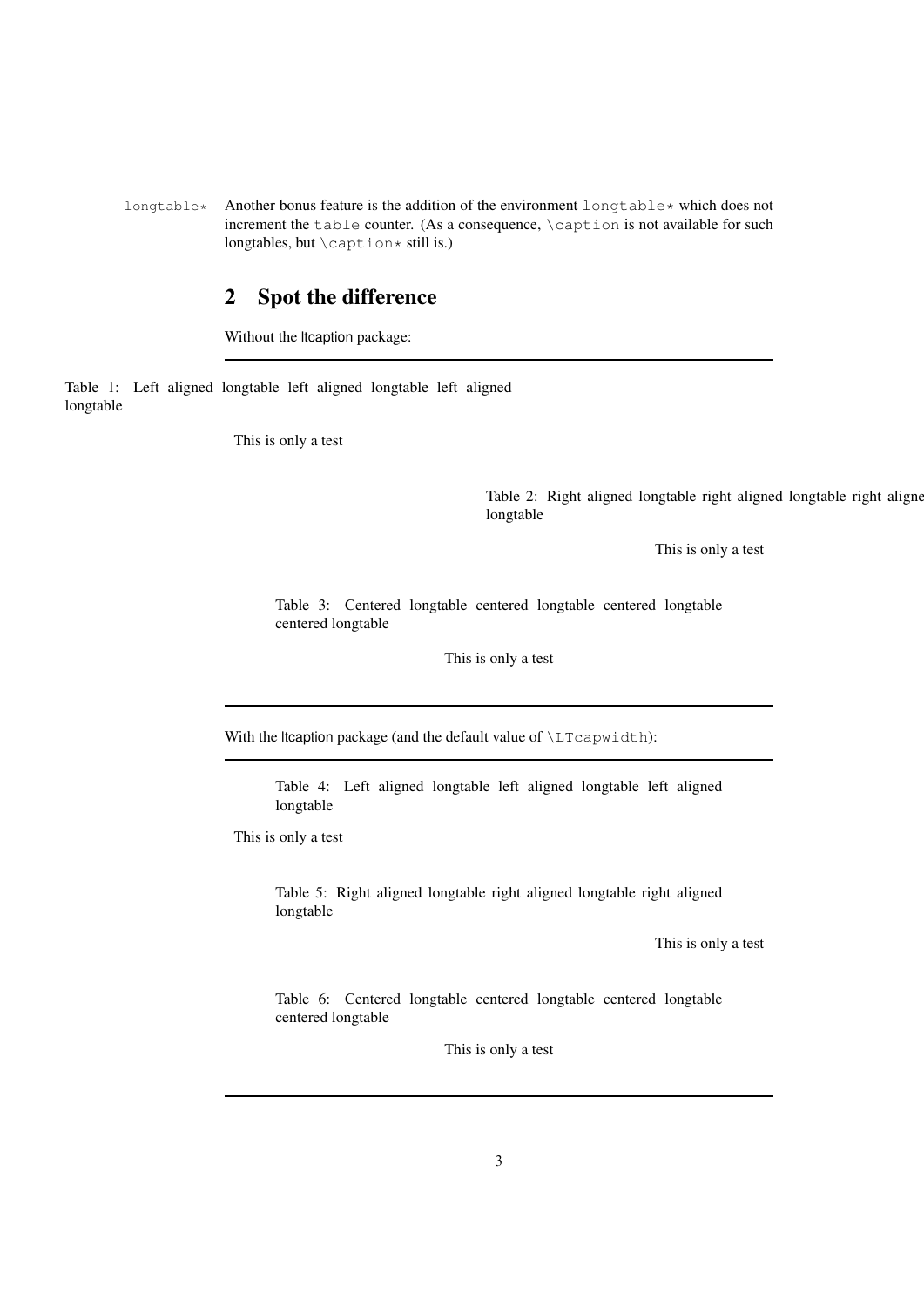longtable\* Another bonus feature is the addition of the environment longtable\* which does not increment the table counter. (As a consequence, \caption is not available for such longtables, but  $\cap$   $\times$  still is.)

## <span id="page-2-0"></span>2 Spot the difference

Without the ltcaption package:

Table 1: Left aligned longtable left aligned longtable left aligned longtable

This is only a test

Table 2: Right aligned longtable right aligned longtable right aligned longtable

This is only a test

Table 3: Centered longtable centered longtable centered longtable centered longtable

This is only a test

With the ltcaption package (and the default value of \LTcapwidth):

Table 4: Left aligned longtable left aligned longtable left aligned longtable

This is only a test

Table 5: Right aligned longtable right aligned longtable right aligned longtable

This is only a test

Table 6: Centered longtable centered longtable centered longtable centered longtable

This is only a test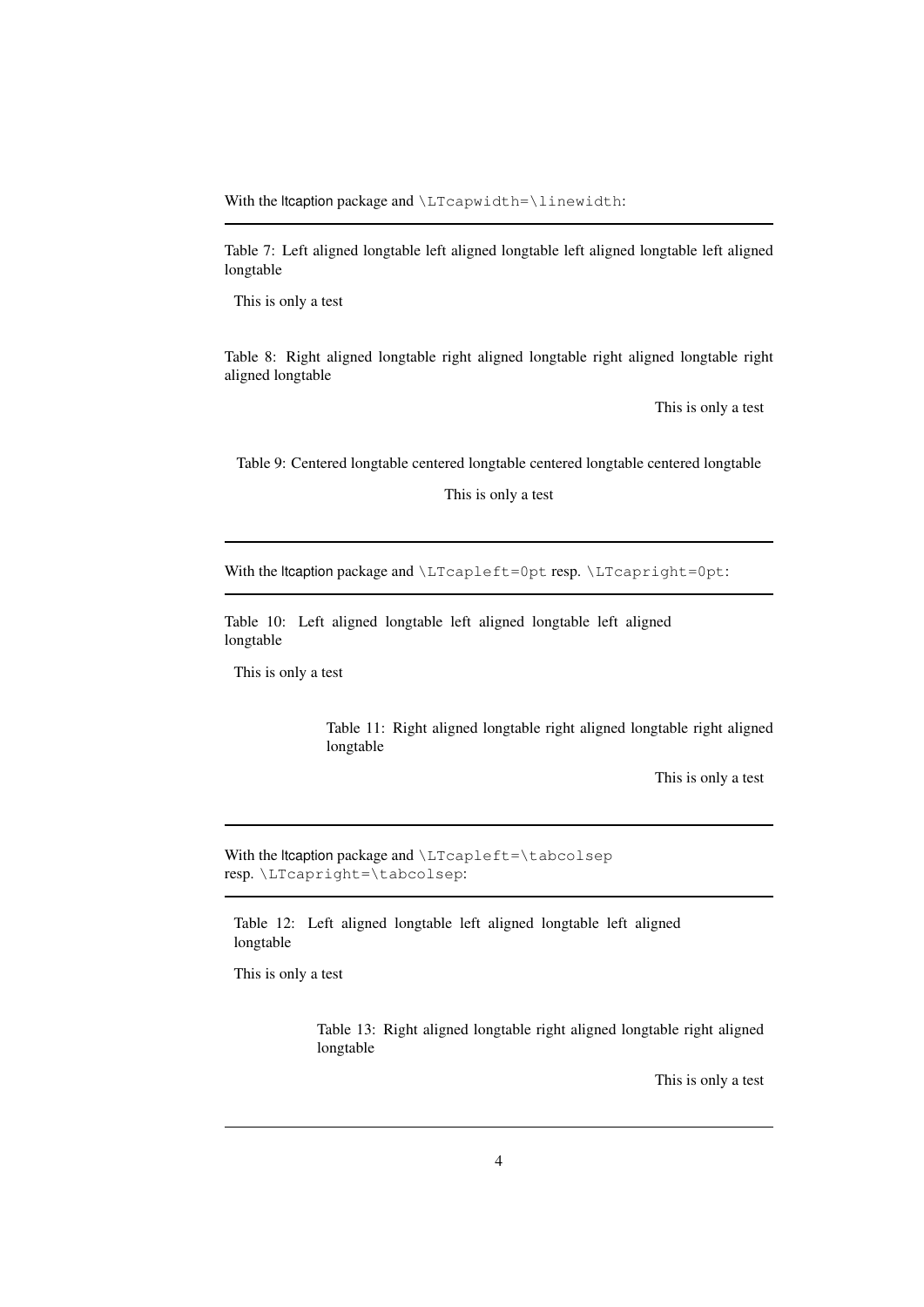With the ltcaption package and \LTcapwidth=\linewidth:

Table 7: Left aligned longtable left aligned longtable left aligned longtable left aligned longtable

This is only a test

Table 8: Right aligned longtable right aligned longtable right aligned longtable right aligned longtable

This is only a test

Table 9: Centered longtable centered longtable centered longtable centered longtable

This is only a test

With the ltcaption package and \LTcapleft=0pt resp. \LTcapright=0pt:

Table 10: Left aligned longtable left aligned longtable left aligned longtable

This is only a test

Table 11: Right aligned longtable right aligned longtable right aligned longtable

This is only a test

With the Itcaption package and \LTcapleft=\tabcolsep resp. \LTcapright=\tabcolsep:

Table 12: Left aligned longtable left aligned longtable left aligned longtable

This is only a test

Table 13: Right aligned longtable right aligned longtable right aligned longtable

This is only a test